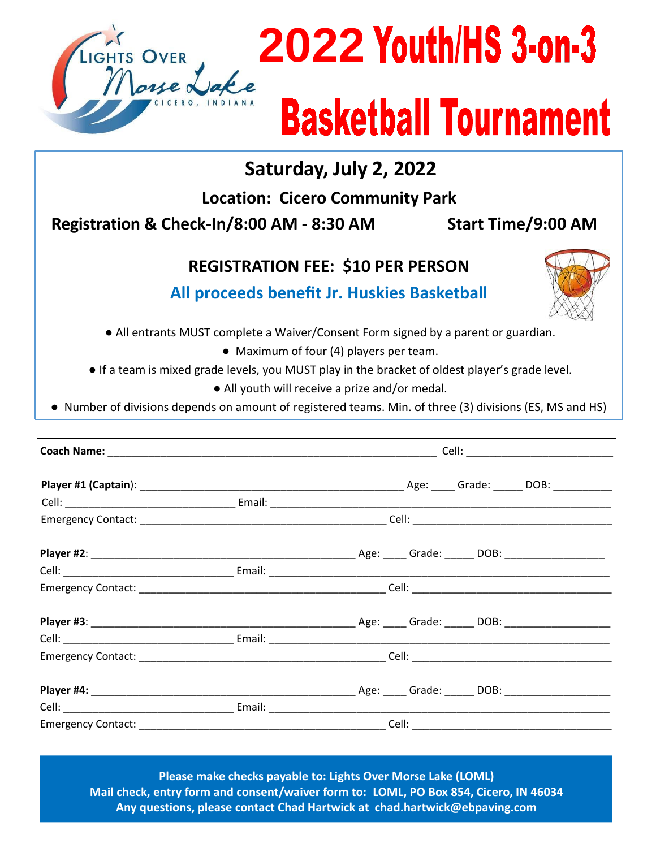

## **2022**

## **Basketball Tournament**

**Saturday, July 2, 2022**

**Location: Cicero Community Park**

**Registration & Check‐In/8:00 AM ‐ 8:30 AM Start Time/9:00 AM**

## **REGISTRATION FEE: \$10 PER PERSON**



 **All proceeds benefit Jr. Huskies Basketball**

● All entrants MUST complete a Waiver/Consent Form signed by a parent or guardian.

● Maximum of four (4) players per team.

● If a team is mixed grade levels, you MUST play in the bracket of oldest player's grade level.

● All youth will receive a prize and/or medal.

● Number of divisions depends on amount of registered teams. Min. of three (3) divisions (ES, MS and HS)

|  | Emergency Contact: Call Contact Contact: Cell: Call Contact Contact: Cell: Call Contact: Cell: Call Contact: C |
|--|----------------------------------------------------------------------------------------------------------------|
|  |                                                                                                                |
|  |                                                                                                                |
|  |                                                                                                                |

**Please make checks payable to: Lights Over Morse Lake (LOML) Mail check, entry form and consent/waiver form to: LOML, PO Box 854, Cicero, IN 46034 Any questions, please contact Chad Hartwick at chad.hartwick@ebpaving.com**